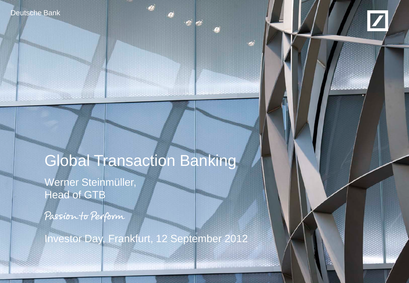Deutsche Bank

**And All College Lights** 



# Global Transaction Banking

Werner Steinmüller, Head of GTB

Passion to Perform

Investor Day, Frankfurt, 12 September 2012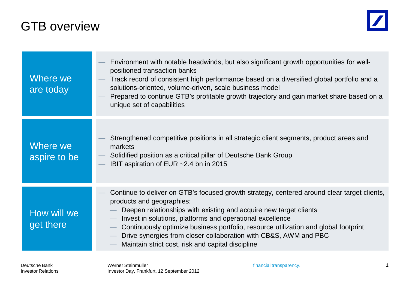## GTB overview



| Where we<br>are today    | Environment with notable headwinds, but also significant growth opportunities for well-<br>positioned transaction banks<br>Track record of consistent high performance based on a diversified global portfolio and a<br>solutions-oriented, volume-driven, scale business model<br>Prepared to continue GTB's profitable growth trajectory and gain market share based on a<br>unique set of capabilities                                                                  |
|--------------------------|----------------------------------------------------------------------------------------------------------------------------------------------------------------------------------------------------------------------------------------------------------------------------------------------------------------------------------------------------------------------------------------------------------------------------------------------------------------------------|
| Where we<br>aspire to be | Strengthened competitive positions in all strategic client segments, product areas and<br>markets<br>Solidified position as a critical pillar of Deutsche Bank Group<br>IBIT aspiration of EUR ~2.4 bn in 2015                                                                                                                                                                                                                                                             |
| How will we<br>get there | Continue to deliver on GTB's focused growth strategy, centered around clear target clients,<br>products and geographies:<br>Deepen relationships with existing and acquire new target clients<br>Invest in solutions, platforms and operational excellence<br>Continuously optimize business portfolio, resource utilization and global footprint<br>Drive synergies from closer collaboration with CB&S, AWM and PBC<br>Maintain strict cost, risk and capital discipline |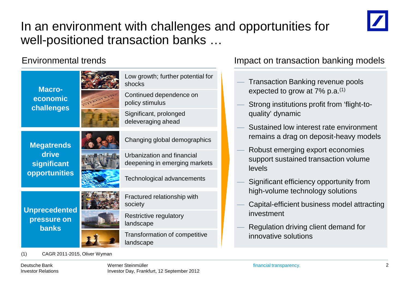

# In an environment with challenges and opportunities for well-positioned transaction banks …



#### Environmental trends **Impact on transaction banking models**

- Transaction Banking revenue pools expected to grow at  $7\%$  p.a.<sup>(1)</sup>
- Strong institutions profit from 'flight-toquality' dynamic
- Sustained low interest rate environment remains a drag on deposit-heavy models
- Robust emerging export economies support sustained transaction volume levels
- Significant efficiency opportunity from high-volume technology solutions
- Capital-efficient business model attracting investment
- Regulation driving client demand for innovative solutions

(1) CAGR 2011-2015, Oliver Wyman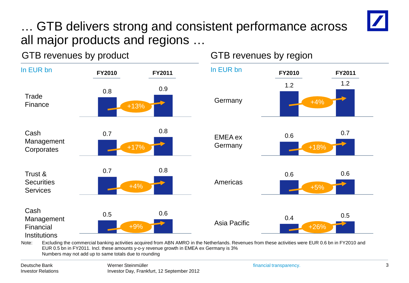# … GTB delivers strong and consistent performance across all major products and regions …

GTB revenues by product GTB revenues by region



EUR 0.5 bn in FY2011. Incl. these amounts y-o-y revenue growth in EMEA ex Germany is 3% Numbers may not add up to same totals due to rounding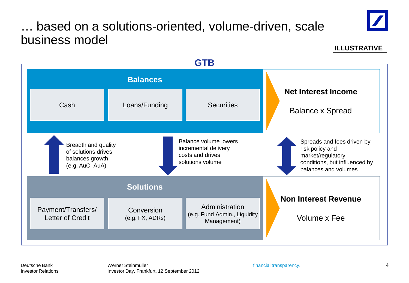# … based on a solutions-oriented, volume-driven, scale business model



**ILLUSTRATIVE**



Deutsche Bank Investor Relations

Werner Steinmüller **financial transparency**. Investor Day, Frankfurt, 12 September 2012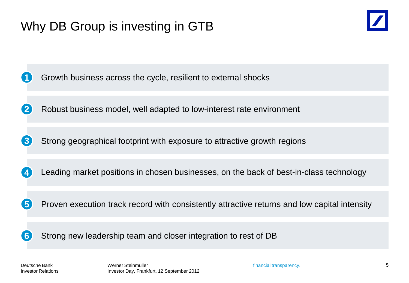

Growth business across the cycle, resilient to external shocks

Robust business model, well adapted to low-interest rate environment **2**

Strong geographical footprint with exposure to attractive growth regions **3**

Leading market positions in chosen businesses, on the back of best-in-class technology **4**

Proven execution track record with consistently attractive returns and low capital intensity

Strong new leadership team and closer integration to rest of DB

**5**

**6**

**1**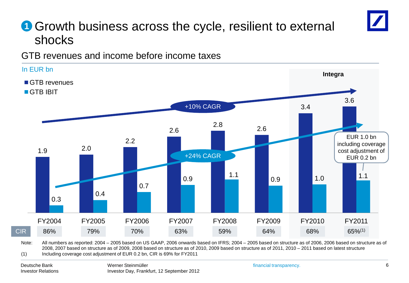# **1** Growth business across the cycle, resilient to external shocks

GTB revenues and income before income taxes



2008, 2007 based on structure as of 2009, 2008 based on structure as of 2010, 2009 based on structure as of 2011, 2010 – 2011 based on latest structure (1) Including coverage cost adjustment of EUR 0.2 bn, CIR is 69% for FY2011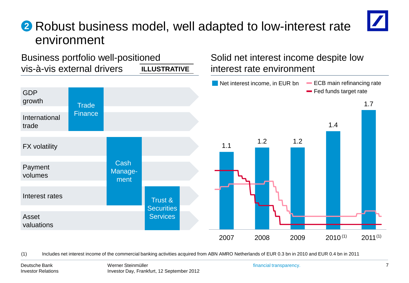# Robust business model, well adapted to low-interest rate **2** environment



(1) Includes net interest income of the commercial banking activities acquired from ABN AMRO Netherlands of EUR 0.3 bn in 2010 and EUR 0.4 bn in 2011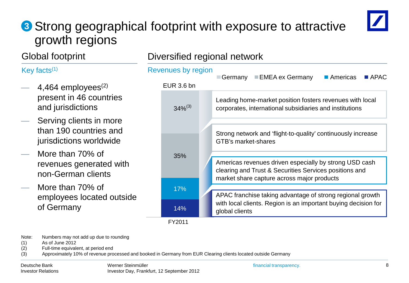# **3** Strong geographical footprint with exposure to attractive growth regions



### Global footprint

#### Key facts $(1)$

- 4,464 employees $^{(2)}$ present in 46 countries and jurisdictions
- Serving clients in more than 190 countries and jurisdictions worldwide
- More than 70% of revenues generated with non-German clients
- More than 70% of employees located outside of Germany

#### Diversified regional network



Note: Numbers may not add up due to rounding

- (1) As of June 2012
- (2) Full-time equivalent, at period end

(3) Approximately 10% of revenue processed and booked in Germany from EUR Clearing clients located outside Germany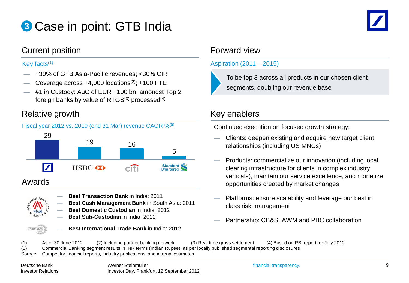# Case in point: GTB India **3**



#### Current position **Forward view** Forward view

- ~30% of GTB Asia-Pacific revenues; <30% CIR
- Coverage across  $+4,000$  locations<sup>(2)</sup>;  $+100$  FTE
- $-$  #1 in Custody: AuC of EUR  $\sim$  100 bn; amongst Top 2 foreign banks by value of  $RTGS^{(3)}$  processed<sup>(4)</sup>

#### Relative growth Relative growth Relative growth Relative Services and Relative Services and Relative Services





#### Awards



- **Best Transaction Bank** in India: 2011
- **Best Cash Management Bank** in South Asia: 2011
- **Best Domestic Custodian** in India: 2012
	- **Best Sub-Custodian** in India: 2012



— **Best International Trade Bank** in India: 2012

#### Key facts<sup> $(1)$ </sup> Aspiration  $(2011 - 2015)$



To be top 3 across all products in our chosen client segments, doubling our revenue base

Continued execution on focused growth strategy:

- Clients: deepen existing and acquire new target client relationships (including US MNCs)
- Products: commercialize our innovation (including local clearing infrastructure for clients in complex industry verticals), maintain our service excellence, and monetize opportunities created by market changes
- Platforms: ensure scalability and leverage our best in class risk management
- Partnership: CB&S, AWM and PBC collaboration

(1) As of 30 June 2012 (2) Including partner banking network (3) Real time gross settlement (4) Based on RBI report for July 2012 (5) Commercial Banking segment results in INR terms (Indian Rupee), as per locally published segmental reporting disclosures Source: Competitor financial reports, industry publications, and internal estimates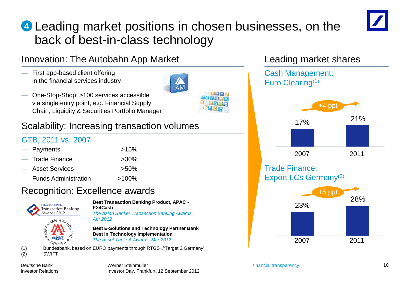# Leading market positions in chosen businesses, on the **4** back of best-in-class technology



### Innovation: The Autobahn App Market

— First app-based client offering in the financial services industry



— One-Stop-Shop: >100 services accessible via single entry point, e.g. Financial Supply Chain, Liquidity & Securities Portfolio Manager

### Scalability: Increasing transaction volumes

#### GTB, 2011 vs. 2007

| — Payments               | $>15\%$  |
|--------------------------|----------|
| $-$ Trade Finance        | $>30\%$  |
| — Asset Services         | $>50\%$  |
| $-$ Funds Administration | $>100\%$ |

### Recognition: Excellence awards



Deutsche Bank Investor Relations

# 23% 28% 2007 2011

17% 21%

+4 pp

Cash Management:

Leading market shares

Euro Clearing(1)

Trade Finance:

Export LCs Germany<sup>(2)</sup>

2007 2011

+5 ppt

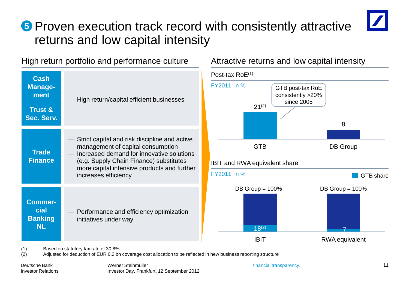# **5** Proven execution track record with consistently attractive returns and low capital intensity



#### High return portfolio and performance culture Attractive returns and low capital intensity

| <b>Cash</b><br><b>Manage-</b><br>ment<br><b>Trust &amp;</b><br>Sec. Serv. | High return/capital efficient businesses                                                                                                                                                                                                          |
|---------------------------------------------------------------------------|---------------------------------------------------------------------------------------------------------------------------------------------------------------------------------------------------------------------------------------------------|
| <b>Trade</b><br><b>Finance</b>                                            | Strict capital and risk discipline and active<br>management of capital consumption<br>Increased demand for innovative solutions<br>(e.g. Supply Chain Finance) substitutes<br>more capital intensive products and further<br>increases efficiency |
| <b>Commer-</b><br>cial<br><b>Banking</b><br><b>NL</b>                     | Performance and efficiency optimization<br>initiatives under way                                                                                                                                                                                  |



(2) Adjusted for deduction of EUR 0.2 bn coverage cost allocation to be reflected in new business reporting structure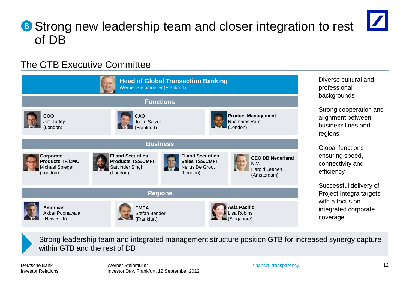# **6** Strong new leadership team and closer integration to rest of DB

### The GTB Executive Committee



Strong leadership team and integrated management structure position GTB for increased synergy capture within GTB and the rest of DB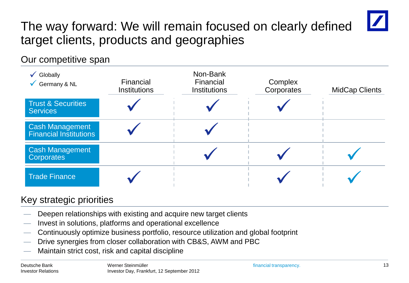# The way forward: We will remain focused on clearly defined target clients, products and geographies

### Our competitive span

| Globally<br>$\checkmark$<br>Germany & NL                | Financial<br><b>Institutions</b> | Non-Bank<br>Financial<br><b>Institutions</b> | Complex<br>Corporates | <b>MidCap Clients</b> |
|---------------------------------------------------------|----------------------------------|----------------------------------------------|-----------------------|-----------------------|
| <b>Trust &amp; Securities</b><br><b>Services</b>        |                                  |                                              |                       |                       |
| <b>Cash Management</b><br><b>Financial Institutions</b> |                                  |                                              |                       |                       |
| <b>Cash Management</b><br><b>Corporates</b>             |                                  |                                              |                       |                       |
| <b>Trade Finance</b>                                    |                                  |                                              |                       |                       |

### Key strategic priorities

- Deepen relationships with existing and acquire new target clients
- Invest in solutions, platforms and operational excellence
- Continuously optimize business portfolio, resource utilization and global footprint
- Drive synergies from closer collaboration with CB&S, AWM and PBC
- Maintain strict cost, risk and capital discipline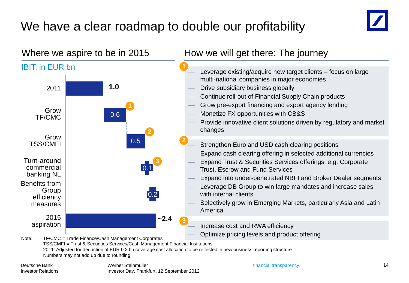# We have a clear roadmap to double our profitability



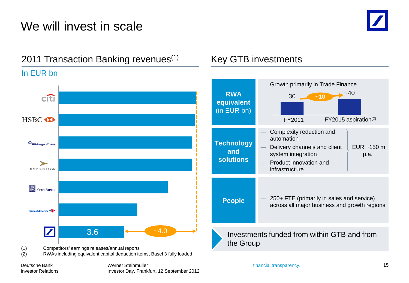# We will invest in scale



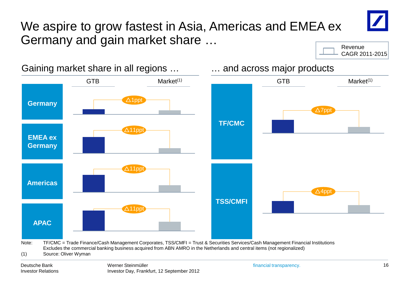



Gaining market share in all regions … … and across major products

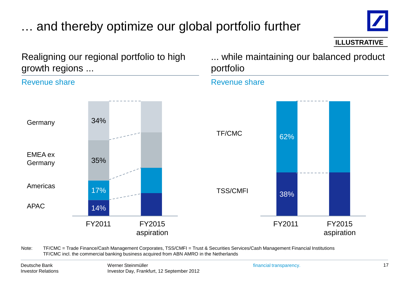# … and thereby optimize our global portfolio further



**ILLUSTRATIVE**

Realigning our regional portfolio to high growth regions ...

#### Revenue share

... while maintaining our balanced product portfolio



Revenue share

Note: TF/CMC = Trade Finance/Cash Management Corporates, TSS/CMFI = Trust & Securities Services/Cash Management Financial Institutions TF/CMC incl. the commercial banking business acquired from ABN AMRO in the Netherlands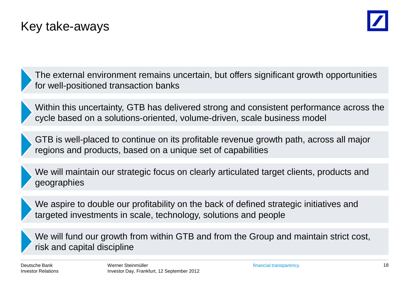# Key take-aways



The external environment remains uncertain, but offers significant growth opportunities for well-positioned transaction banks

Within this uncertainty, GTB has delivered strong and consistent performance across the cycle based on a solutions-oriented, volume-driven, scale business model

GTB is well-placed to continue on its profitable revenue growth path, across all major regions and products, based on a unique set of capabilities

We will maintain our strategic focus on clearly articulated target clients, products and geographies

We aspire to double our profitability on the back of defined strategic initiatives and targeted investments in scale, technology, solutions and people

We will fund our growth from within GTB and from the Group and maintain strict cost, risk and capital discipline